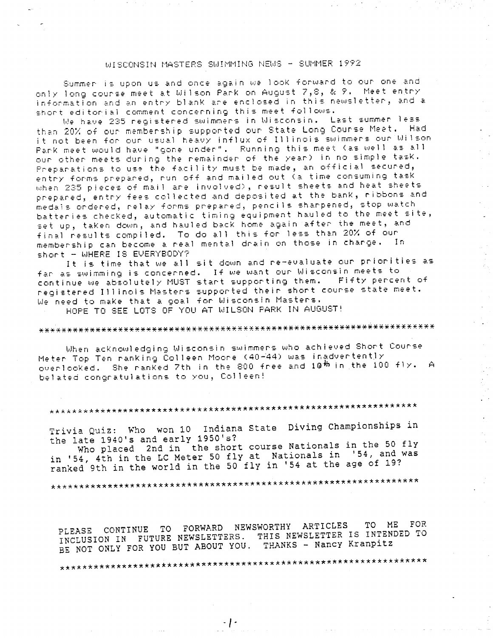## WISCONSIN MASTERS SWIMMING NEWS - SUMMER 1992

Summer is upon us and once again we look forward to our one and only long course meet at Wilson Park on August 7,8, & 9. Meet entry information and an entry blank are enclosed in this newsletter, and a short editorial comment concerning this meet follows.

We have 235 registered swimmers in Wisconsin. Last summer less than 20% of our membership supported our State Long Course Meet. Had it not been for our usual heavy influx of Illinois swimmers our Wilson Park meet would have "gone under". Running this meet (as well as all our other meets during the remainder of the year) in no simple task. Preparations to use the facility must be made, an official secured, entry forms prepared, run off and mailed out (a time consuming task when 235 pieces of mail are involved), result sheets and heat sheets prepared, entry fees collected and deposited at the bank, ribbons and medals ondered, relay forms prepared, pencils sharpened, stop watch batteries checked, automatic timing equipment hauled to the meet site, set up, taken down, and hauled back home again after the meet, and final results compiled. To do all this for less than 20% of our membership can become a real mental drain on those in charge. In short - WHERE IS EVERYBODY?

 $\Delta$ 

 $\hat{\mathcal{A}}$ 

 $\mathcal{L}^{\mathcal{L}}$ 

It is time that we all sit down and re-evaluate our priorities as fan as swimming is concerned. If we want our Wisconsin meets to continue we absolutely MUST start supporting them. Fifty percent of registered Illinois Masters supported their short course state meet. We need to make that a goal for Wisconsin Masters.

HOPE TO SEE LOTS OF YOU AT WILSON PARK IN AUGUST!

## 

When acknowledging Wisconsin swimmers who achieved Short Course Meter Top Ten ranking Colleen Moore (40-44) was inadvertently overlooked. She ranked 7th in the 800 free and 10th in the 100 fly. A belated congratulations to you, Colleen!

## 

Trivia Quiz: Who won 10 Indiana State Diving Championships in the late 1940's and early 1950's?

Who placed 2nd in the short course Nationals in the 50 fly in '54, 4th in the LC Meter 50 fly at Nationals in '54, and was ranked 9th in the world in the 50 fly in '54 at the age of 19?

PLEASE CONTINUE TO FORWARD NEWSWORTHY ARTICLES TO ME FOR. INCLUSION IN FUTURE NEWSLETTERS. THIS NEWSLETTER IS INTENDED TO BE NOT ONLY FOR YOU BUT ABOUT YOU. THANKS - Nancy Kranpitz

 $\cdot$  |  $\cdot$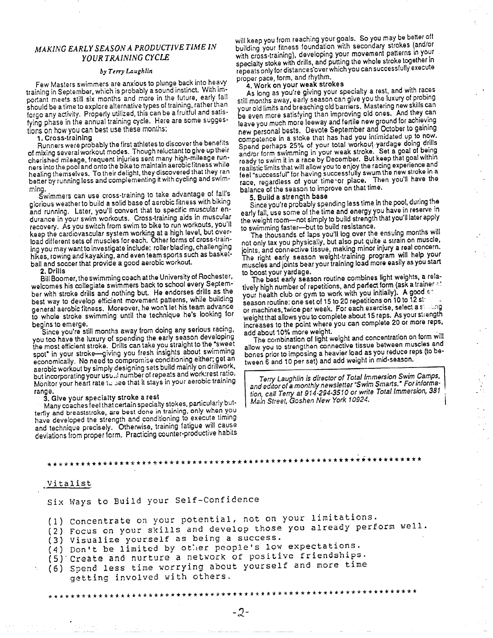## *MAKING EARLY SEASON A PRODUCTIVE TIME IN*  **YOUR TRAINING CYCLE**

#### $by$   $Termy$  *Laughlin*

Few Masters swimmers are anxious to plunge back into heavy training In September, which Is probably **a** sound instinct. With important meets still six months and more in the future, early fall should be a time to explore alternative types of training, rather than forgo any activity. Properly utilized, this can be a fruitful and satisfying phase In the annual training cycle. Here are some suggestions on how you can best use these months:

1. Cross-training

Runners were probably the first athletes to discover the benefits of mixing several workout modes. Though reluctant to give up their cherished mileage, frequent injuries sent many high-mileage runners into the pool and onto the bike to maintain aerobic fitness while healing themselves. To their delight, they discovered that they ran better by running less and complementing it with cycling and swimming.

Swimmers can use cross-training to take advantage of fall's glorious weather to build a solid base of aerobic fitness with biking and running. Later, you'll convert that to specific muscular endurance in your swim workouts. Cross-training aids in muscular recovery. As you switch from swim to bike to run workouts, you'll keep the cardiovascular system working at a high level, but overload different sets of muscles for each. Other forms of cross-training you may want to investigate include: roller blading challenging hikes, rowing and kayaking, and even team sports such as basketball and soccer that provide a good aerobic workout.

#### **2. Drills**

Bill Boomer, the swimming coach at the University of Rochester, welcomes his collegiate swimmers back to school every September with stroke drills and nothing but. He endorses drills as the best way to develop efficient movement patterns, while building general aerobic fitness. Moreover, he won't let his team advance to whole stroke swimming until the technique he's looking for begins to emerge.

Since you're still months away from doing any serious racing, you too have the luxury of spending the early season developing the most efficient stroke. Drills can take you straight to the "sweet spot" in your stroke-giving you fresh insights about swimming economically. No need to compromise conditioning either; get an aerobic workout by simply designing sets build mainly on drillwork, but incorporating your usu...! number of repeats and work:rest ratio. Monitor your heart rate to see that it stays in your aerobic training range.

#### **3. Give** your specialty **stroke a rest**

Many coaches feel that certain specialty stokes, particularly butterily and breaststroke, are best done in training, only when you have developed the strength and conditioning to execute timing and technique precisely. Otherwise, training fatigue will cause deviations from proper form. Practicing counter-productive habits

will keep you from reaching your goals. So you may be better off building your fitness foundation with secondary strokes (and/or with cross-training), developing your movement patterns in your specialty stoke with drills, and putting the whole stroke together in repeats only for distances·cver which you can successfully execute proper pace, form, and rhythm.

## 4. Work on your **weak** strokes

. **As** long as you're giving your specialty a rest, and with races still months away, early season can give you the luxury of probing your old limits and breaching old barriers. Mastering new skills can be even more satisfying than improving old ones. And they can leave you much more leeway and fertile new ground for achieving new personal bests. Devote September and October to gaining competence in a stoke that has had you intimidated up to now. Spend perhaps 25% of your total workout yardage doing drills<br>and/or form swimming in your weak stroke. Set a goal of being ready to swim it in a race by December. But keep that goal within reailstic limits that will allow you to enjoy the racing experience and feel "successful" for having successfully swum the new stroke in a race, regardless of your time ·or place. Then you'll have the balance of the season to improve on that time.

### 5. Build a strength **base**

Since you're probably spending less time in the pool, during the early fall, use some of the time and energy you have in reserve in the weight room-not simply to build strength that you'll later apply to swimming faster-but to build resistance.

The thousands of laps you'll log over the ensuing months will not only tax you physically, but also put quite a strain on muscle, joints, and connective tissue, making minor injury a real concern. The right early season weight-training program will help your muscles and joints bear your training load more easily as you start to boost your yardage.

The best early season routine combines light weights, a relatively high number of repetitions, and perfect form (ask a trainer  $\approx$ your health club or gym to work with you initially). A good  $\epsilon$ : season routine: one set of 15 to 20 repetitions on 10 to  $\bar{1}2$  st: or machines, twice per week. For each exercise, select a strating weight that allows you to complete about 15 reps. As your strength increases to the point where you can complete 20 or more reps, add about 10% more weight.

The combination of light weight and concentration on form will allow you to strengthen connective tissue between muscles and bones prior to imposing **a** heavier load as you reduce reps lto between 6 and 10 per set) and add weight in mid-season.

Terry Laughlin is director of Total Immersion Swim Camps, and editor of a monthly newsletter "Swim Smarts." For information, call Terry at 914-294-3510 or write Total Immersion, 381 Main Street, Goshen New York 10924. •

## \*\*\*\*\*\*\*\*\*\*\*\*\*\*\*\*\*\*\*\*\*\*\*\*\*\*\*\*\*\*\*\*\*\*\*\*\*\*\*\*\*\*\*\*\*\*\*\*\*\*\*\*\*\*\*\*\*\*\*\*\*\*\*\*\*\*\*

#### Vitalist

Six Ways to Build your Self-Confidence

(1) Concentrate on your potential, not on your limitations.

(2) Focus on your skills and develop those you already perform well.

\*\*\*\*\*\*\*\*\*\*\*\*\*\*\*\*\*\*\*\*\*\*\*\*\*\*\*\*\*\*\*\*\*\*\*\*\*\*\*\*\*\*\*\*\*\*\*\*\*\*\*\*\*\*\*\*\*\*\*\*\*\*\*\*\*\*

 $-2-$ 

(3) Visualize yourself as being a success.

(4) Don't be limited by other people's low expectations.

(5) Create ana nurture a network of positive friendships.

(6) Spend less time worrying about yourself and more time getting involved with others.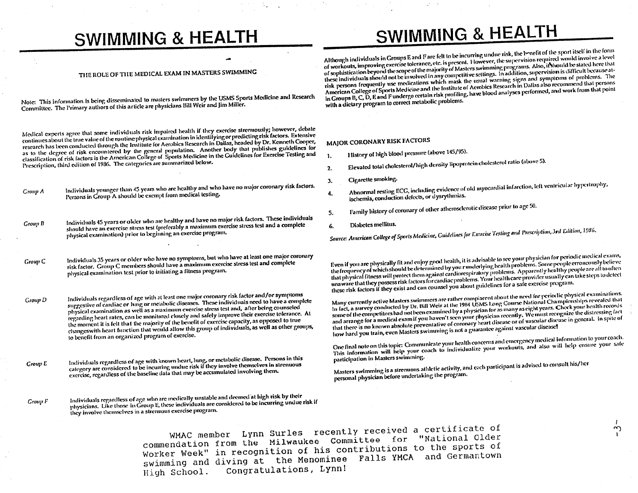# **SWIMMING & HEALTH**

# SWIMMING & HEALTH

## THE ROLE OF THE MEDICAL EXAM IN MASTERS SWIMMING

Note: This information is being disseminated to masters swimmers by the USMS Sports Medicine and Research Committee. The Primary authors of this article are physicians Bill Weir and Jim Miller.

Medical experts agree that some individuals risk impaired health if they exercise strenuously; however, debate continues about the true value of the routine physical examination in identifying or predicting risk factors. Extensive research has been conducted through the Institute for Aerobics Research in Dallas, headed by Dr. Kenneth Cooper, as to the degree of risk encountered by the general population. Another body that publishes guidelines for classification of risk factors is the American College of Sports Medicine in the Guidelines for Exercise Testing and Prescription, third edition of 1986. The categories are summarized below.

- Individuals younger than 45 years who are healthy and who have no major coronary risk factors. Group A Persons in Group A should be exempt from medical testing.
- Individuals 45 years or older who are healthy and have no major risk factors. These individuals Group B should have an exercise stress test (preferably a maximum exercise stress test and a complete physical examination) prior to beginning an exercise program.
- Individuals 35 years or older who have no symptoms, but who have at least one major coronary Group C risk factor. Group C members should have a maximum exercise stress test and complete physical examination test prior to initiating a fitness program.
- Individuals regardless of age with at least one major coronary risk factor and/or symptoms **Group D** suggestive of cardiac or lung or metabolic diseases. These individuals need to have a complete physical examination as well as a maximum exercise stress test and, after being counseled regarding heart rates, can be monitored closely and safely improve their exercise tolerance. At the moment it is felt that the majority of the benefit of exercise capacity, as opposed to true changeswith heart function that would allow this group of individuals, as well as other groups, to benefit from an organized program of exercise.
- Individuals regardless of age with known heart, lung, or metabolic disease. Persons in this category are considered to be incurring undue risk if they involve themselves in strenuous **Croup E** exercise, regardless of the baseline data that may be accumulated involving them.

Individuals regardless of age who are medically unstable and deemed at high risk by their Group F physicians. Like those in Group E, these individuals are considered to be incurring undue risk if they involve themselves in a strenuous exercise program.

Although individuals in Groups E and F are felt to be incurring undue risk, the benefit of the sport itself in the form of workouts, improving exercise tolerance, etc. is present. However, the supervision required would involve a level of sophistication beyond the scope of the majority of Masters swimming programs. Also, it should be stated here that these individuals should not be involved in any competitive settings. In addition, supervision is difficult because atrisk persons frequently use medications which mask the usual warning signs and symptoms of problems. The American College of Sports Medicine and the Institute of Aerobics Research in Dallas also recommend that persons in Groups B, C, D, E and F undergo certain risk profiling, have blood analyses performed, and work from that point with a dietary program to correct metabolic problems.

## MAJOR CORONARY RISK FACTORS

- History of high blood pressure (above 145/95). 1.
- Elevated total cholesterol/high density lipoprotein cholesterol ratio (above 5).  $2.$
- Cigarette smoking.  $3.$
- Abnormal resting ECG, including evidence of old myocardial infarction, left ventricular hypertrophy, 4. ischemia, conduction defects, or dysrythmias.
- Family history of coronary of other atherosclerotic disease prior to age 50. 5.
- Diabetes mellitus. 6.

Source: American College of Sports Medicine, Guidelines for Exercise Testing and Prescription, 3rd Edition, 1986.

Even if you are physically fit and enjoy good health, it is advisable to see your physician for periodic medical exams, the frequency of which should be determined by your underlying health problems. Some people erroneously believe that physical fitness will protect them against cardiorespiratory problems. Apparently healthy people are all to often unaware that they possess risk factors for cardiac problems. Your health care provider usually can take steps to detect these risk factors if they exist and can counsel you about guidelines for a safe exercise program.

Many currently active Masters swimmers are rather complacent about the need for periodic physical examinations. In fact, a survey conducted by Dr. Bill Weir at the 1984 USMS Long Course National Championships revealed that some of the competitors had not been examined by a physician for as many as eight years. Check your health records and arrange for a medical examif you haven't seen your physician recently. We must recognize the distressing fact that there is no known absolute preventative of coronary heart disease or of vascular disease in general. In spite of how hard you train, even Masters swimming is not a guarantee against vascular disease!

One final note on this topic: Communicate your health concerns and emergency medical information to your coach. This information will help your coach to individualize your workouts, and also will help ensure your safe participation in Masters swimming.

 $\sim$ 

Masters swimming is a strenuous athletic activity, and each participant is advised to consult his/her personal physician before undertaking the program.

WMAC member Lynn Surles recently received a certificate of commendation from the Milwaukee Committee for "National Older Worker Week" in recognition of his contributions to the sports of swimming and diving at the Menominee Falls YMCA and Germantown Congratulations, Lynn! High School.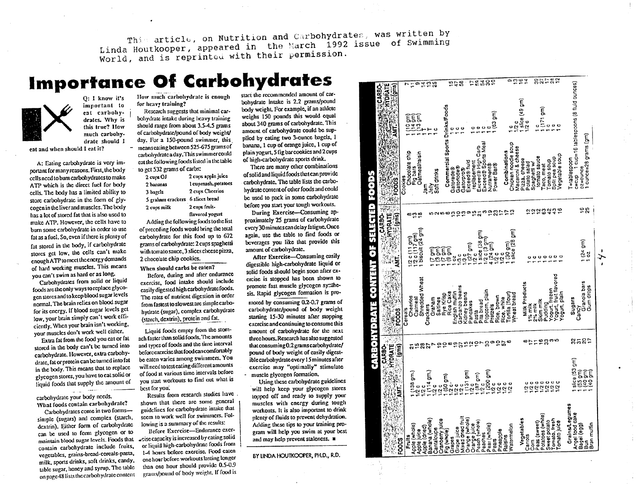This article, on Nutrition and Carbohydrates, was written by Linda Houtkooper, appeared in the March 1992 issue of Swimming World, and is reprinted with their permission.

# **Importance Of Carbohydrates**



dratc should I

cat and when should I eat it?

A: Eating carbohydrate is very important for many reasons. First, the body cells need to bum carbohydrates to make ATP which is the direct fuel for body cells. The body has a limited ability to store carbohydrate in the form of glycogen in the liver and muscles. The body has a lot of stored fat that is also used to make ATP. However, the cells have to bum some carbohydrate in order 10 use fat as a fuel. So, even if there is plenty of fat stored in the body, if carbohydrate stores get low, the cells can't make cnoughATP1omee11hecncrgydemands of hard working muscles. This means you can't swim as hard or as long.

Carbohydrates from solid or liquid foods arc !he only ways to replace glycogen stores and to keep blood sugar levels normal. The brain relics on blood sugar for its energy. If blood sugar levels gel low, your brain simply can't work efficiently. When your brain isn't working, your muscles don't work well either.

Extra fat from the food you cat or fat stored in the body can't be turned into carbohydrate. However, extra carbohydrate, fat or protein can be turned into fat in the body. This means that to replace <sup>g</sup>lycogen stores, you have to cal solid or liquid foods that supply the arnoum or

carbohydralc your body needs. What foods contain carbohydrate?

Carbohydrates come in two formssimple (sugars) and complex (starch, dextrin). Either form of carbohydrate can be used to form glycogen or to maintain blood sugar levels. Foods that contain carbohydrate include fruits, vegetables, grains-bread-cercals-pasta, milk, sports drinks, soft drinks, candy, table sugar, honey and syrup. The table on page 48 lists the carbohydrate content

Jlow much carbohydr:11e is enoug<sup>h</sup> for heavy training?

Research suggests that minimal carbohydrate intake during heavy training should range from about 3.5-4.5 grams of carbohydrate/pound of body weight/ day. For a 150-pound swimmer, this. means eating bclwcen 525-675 grams of carbohydrate a day. This swimmer could eat the following foods listed in the table to get 532 grams of carbs:

| Ket aan Frans en emen |                     |
|-----------------------|---------------------|
| 2 cups OJ             | 2 cups apple juice  |
| 2 bananas             | 1 cupmash, potatoes |
| 3 bagels              | 2 cups Cheerios     |
| 5 graham crackers     | 6 slices bread      |
| 2 cups milk           | 2 cups fruit-       |
|                       | flavored yogurt     |

Adding the following foods to the list of preceding foods would bring the total carbohydrate for this food up to 672 grams or carbohydrate: 2 cups spaghetti with tomato sauce, 3 slices cheese pizza, 2 chocolate chip cookies. ------

When should carbs be caten?

Defore, during and after endurance exercise, food intake should include easily digested high carbohydrate foods. The rates of nutrient digestion in order from faslest tosloweslare simple carbohydrate (sugar), complex carbohydrate (starch, dextrin), protein and fat.

Liquid foods empty from the stomach faster than solid foods. 'Ille amounts and types of foods and the time interval before exercise that food can comfortably be eaten varies among swimmers. You will need to test cating different amounts of food at various lime intervals before you start workouts to find out what is best [or you:

Results from research studies have shown that there are some general guidelines for carbohydrate intake that seem to work well for swinuners. following is a summary of the results:

Defore Exercise-Endurance exer-  $\star$ cisc capacity is increased by cating solid or liquid high-carbohydmtc foods from 1-4 hours before exercise. Food eaten one hour before workouts histing longer than one hour should provide 0.5-0.9 grams/pound of body weight. If food is

start the recommended mnount of carbohydrate intake is 2.2 grams/pound body weight. For example, if an athlete weighs 150 pounds this would equal about 340 grams of carbohydrate. This amount of carbohydrate could be sup<sup>p</sup>lied by eating two 3-ounce bagels, I banana, l cup of orange juice, I cup of <sup>p</sup>lain yogurt, *5* lig bar cookies and 2cups of high-carbohydrate sports drink.

There are many other combinations of solid and liquid foods that can provide carbohydrate. The table lists the carbohydrate content of other foods and could be used 10 pack in some carbohydrate before you start your tough workouts.

During Exercise-Consuming approximately 25 grams of carbohydrate cvery 30 minutes can delay fatigue. Once again, use the table to find foods or beverages you like that provide this amounl of carbohydrate.

After Exercise-Consuming casily digestible high-carbohydrate liquid or solid foods should begin soon after exercise is stopped has been shown <sup>10</sup> promote fast muscle glycogen symthesis. Rapid glycogen fonnation is pro-

moted by consuming 0.2-0.7 grams of carbohydrate/pound of body weight starting 15-30 minutes after stopping exercise and continuing to consume this amount of carbohydrate for the next three hours.Research has also suggested thalconsuming0.2gmmscarbohydrate/ pound of body weight of easily digestible carbohydrate every 15 minutes after exercise may "optimally" stimulate muscle glycogen fonnation.

Using these carbohydrate guidelines will help keep your glycogen stores lopped off and ready to supply your muscles with energy during tough workouts. It is also important to drink <sup>p</sup>lenty or fluids to prevent dehydration. Adding these tips to your training program will help you swim al your best and may help prevent staleness. ■

BY LINDA HOUTKOOPER, PH.D., R.D.

| 82582<br>0.094<br>58285<br>$\overline{\mathbf{e}}$<br>$\frac{15}{47}$<br>$\frac{4}{3}$ $\frac{1}{2}$<br>c=cup 1 cup=16 tablespoons (8 fluid ounces)<br>o<br><b>ECONOMIC</b><br>$\mathbb{Z}$ (gins)<br>l slice (49 gm)<br>1/2 c<br>Commercial Sports Drinks/Foods<br>ţ<br>$(171$ gm)<br>$(63 \text{ gm})$<br>ត្តត្ត<br>ខ្លះ<br>ပေပ<br>o<br>  ounce=28 grams (gm)<br>Exceed® High Carb<br>Exceed® Sports Meal<br>Chicken noodle soup<br>Macaroni & cheese<br>Combinations<br>Chocolate chip<br>Fig bars<br><b>Oatmeal/raisin</b><br>vegetable soup<br>tomato sauce<br>Split pea soup<br>Pizza, cheese<br>-tablespoon<br>Tomato soup<br>Exceed® fluid<br>replacement<br>Potato salad<br>Spagheti w/<br>Power Bar®<br>Nutrament®<br>Taco, meat<br>Gatoriode®<br>$52 = 50$<br>Gatorade®<br>Gatorpro®<br>Soft drinks<br>Cookies<br><b>Vilely</b><br>និយ<br><b>CARBO-25</b><br>ဖွစ္ပ<br><b>AMT.</b><br>AMT.<br>ភិភិភិនិភីភូ<br>ოღვ<br>÷<br>ត្តិចង់2<br>۰<br>∞∾<br>biscuit (24 gm)<br>skce (28 gm)<br>slice (38 gm)<br>1/2 c (11 gm)<br>1/2 c (117 gm)<br>1/2 c (3 gm)<br>1 (24 gm)<br>1 oz<br>150<br>00<br>1 (27 cm)<br>1/2 c<br>4 (24 gm)<br>EEEE<br>Coco<br>ง<br>2<br>$\frac{1}{2}$<br>ს<br>ღ<br>13 c<br>.<br>č | <b>BE ALLE FREED AN HIVE IS ENDING AN HOLD CONTRA</b>         |                 |  | <b>ARBO-</b> |
|------------------------------------------------------------------------------------------------------------------------------------------------------------------------------------------------------------------------------------------------------------------------------------------------------------------------------------------------------------------------------------------------------------------------------------------------------------------------------------------------------------------------------------------------------------------------------------------------------------------------------------------------------------------------------------------------------------------------------------------------------------------------------------------------------------------------------------------------------------------------------------------------------------------------------------------------------------------------------------------------------------------------------------------------------------------------------------------------------------------------------------------------------------------------------------------------------------|---------------------------------------------------------------|-----------------|--|--------------|
|                                                                                                                                                                                                                                                                                                                                                                                                                                                                                                                                                                                                                                                                                                                                                                                                                                                                                                                                                                                                                                                                                                                                                                                                            | <b>AND STATE AND MORATE AND ALL PROPERTY</b><br><b>CARBO-</b> |                 |  |              |
| Shredded Wheat                                                                                                                                                                                                                                                                                                                                                                                                                                                                                                                                                                                                                                                                                                                                                                                                                                                                                                                                                                                                                                                                                                                                                                                             | Cheerios<br>Cereals                                           |                 |  |              |
|                                                                                                                                                                                                                                                                                                                                                                                                                                                                                                                                                                                                                                                                                                                                                                                                                                                                                                                                                                                                                                                                                                                                                                                                            | Oalmeal                                                       |                 |  |              |
|                                                                                                                                                                                                                                                                                                                                                                                                                                                                                                                                                                                                                                                                                                                                                                                                                                                                                                                                                                                                                                                                                                                                                                                                            | Crackers<br>ក្ខខ្លះ                                           |                 |  |              |
|                                                                                                                                                                                                                                                                                                                                                                                                                                                                                                                                                                                                                                                                                                                                                                                                                                                                                                                                                                                                                                                                                                                                                                                                            | Graham                                                        |                 |  |              |
| Rice Cake                                                                                                                                                                                                                                                                                                                                                                                                                                                                                                                                                                                                                                                                                                                                                                                                                                                                                                                                                                                                                                                                                                                                                                                                  |                                                               | <b>Saltines</b> |  |              |
| Garbanzo beans<br>Popcorn, plain<br>English muffin<br>ortilla (flour)<br>Kidney beans<br>Vheat bread<br>Rice, brown<br>Rice, white                                                                                                                                                                                                                                                                                                                                                                                                                                                                                                                                                                                                                                                                                                                                                                                                                                                                                                                                                                                                                                                                         | ωö                                                            | Rye Krisp       |  |              |
|                                                                                                                                                                                                                                                                                                                                                                                                                                                                                                                                                                                                                                                                                                                                                                                                                                                                                                                                                                                                                                                                                                                                                                                                            | 60                                                            |                 |  |              |
|                                                                                                                                                                                                                                                                                                                                                                                                                                                                                                                                                                                                                                                                                                                                                                                                                                                                                                                                                                                                                                                                                                                                                                                                            |                                                               |                 |  |              |
|                                                                                                                                                                                                                                                                                                                                                                                                                                                                                                                                                                                                                                                                                                                                                                                                                                                                                                                                                                                                                                                                                                                                                                                                            |                                                               |                 |  |              |
|                                                                                                                                                                                                                                                                                                                                                                                                                                                                                                                                                                                                                                                                                                                                                                                                                                                                                                                                                                                                                                                                                                                                                                                                            | Pancakes                                                      |                 |  |              |
|                                                                                                                                                                                                                                                                                                                                                                                                                                                                                                                                                                                                                                                                                                                                                                                                                                                                                                                                                                                                                                                                                                                                                                                                            | Pasta                                                         |                 |  |              |
|                                                                                                                                                                                                                                                                                                                                                                                                                                                                                                                                                                                                                                                                                                                                                                                                                                                                                                                                                                                                                                                                                                                                                                                                            | Pita bread                                                    |                 |  |              |
|                                                                                                                                                                                                                                                                                                                                                                                                                                                                                                                                                                                                                                                                                                                                                                                                                                                                                                                                                                                                                                                                                                                                                                                                            |                                                               |                 |  |              |
|                                                                                                                                                                                                                                                                                                                                                                                                                                                                                                                                                                                                                                                                                                                                                                                                                                                                                                                                                                                                                                                                                                                                                                                                            | Pretzels                                                      |                 |  |              |
|                                                                                                                                                                                                                                                                                                                                                                                                                                                                                                                                                                                                                                                                                                                                                                                                                                                                                                                                                                                                                                                                                                                                                                                                            | asees 1999                                                    |                 |  |              |
|                                                                                                                                                                                                                                                                                                                                                                                                                                                                                                                                                                                                                                                                                                                                                                                                                                                                                                                                                                                                                                                                                                                                                                                                            |                                                               |                 |  |              |
|                                                                                                                                                                                                                                                                                                                                                                                                                                                                                                                                                                                                                                                                                                                                                                                                                                                                                                                                                                                                                                                                                                                                                                                                            |                                                               |                 |  |              |
| <b>Milk Products</b>                                                                                                                                                                                                                                                                                                                                                                                                                                                                                                                                                                                                                                                                                                                                                                                                                                                                                                                                                                                                                                                                                                                                                                                       |                                                               |                 |  |              |
|                                                                                                                                                                                                                                                                                                                                                                                                                                                                                                                                                                                                                                                                                                                                                                                                                                                                                                                                                                                                                                                                                                                                                                                                            |                                                               |                 |  |              |
|                                                                                                                                                                                                                                                                                                                                                                                                                                                                                                                                                                                                                                                                                                                                                                                                                                                                                                                                                                                                                                                                                                                                                                                                            | 1% milk                                                       |                 |  |              |
| ogurt, fruit flavored<br>Granola bars<br>Gum drops<br>ogurt, frozen<br>'ogurt, plain<br>Sugars<br>Skim milk<br>Pudding<br>Cancy                                                                                                                                                                                                                                                                                                                                                                                                                                                                                                                                                                                                                                                                                                                                                                                                                                                                                                                                                                                                                                                                            | ፣                                                             | 2% milk         |  |              |
|                                                                                                                                                                                                                                                                                                                                                                                                                                                                                                                                                                                                                                                                                                                                                                                                                                                                                                                                                                                                                                                                                                                                                                                                            |                                                               |                 |  |              |
|                                                                                                                                                                                                                                                                                                                                                                                                                                                                                                                                                                                                                                                                                                                                                                                                                                                                                                                                                                                                                                                                                                                                                                                                            | 53                                                            |                 |  |              |
|                                                                                                                                                                                                                                                                                                                                                                                                                                                                                                                                                                                                                                                                                                                                                                                                                                                                                                                                                                                                                                                                                                                                                                                                            |                                                               |                 |  |              |
|                                                                                                                                                                                                                                                                                                                                                                                                                                                                                                                                                                                                                                                                                                                                                                                                                                                                                                                                                                                                                                                                                                                                                                                                            | ოო                                                            |                 |  |              |
|                                                                                                                                                                                                                                                                                                                                                                                                                                                                                                                                                                                                                                                                                                                                                                                                                                                                                                                                                                                                                                                                                                                                                                                                            |                                                               |                 |  |              |
|                                                                                                                                                                                                                                                                                                                                                                                                                                                                                                                                                                                                                                                                                                                                                                                                                                                                                                                                                                                                                                                                                                                                                                                                            |                                                               |                 |  |              |
|                                                                                                                                                                                                                                                                                                                                                                                                                                                                                                                                                                                                                                                                                                                                                                                                                                                                                                                                                                                                                                                                                                                                                                                                            | ສຸລຊະ                                                         |                 |  |              |
|                                                                                                                                                                                                                                                                                                                                                                                                                                                                                                                                                                                                                                                                                                                                                                                                                                                                                                                                                                                                                                                                                                                                                                                                            |                                                               |                 |  |              |

I *::r,.*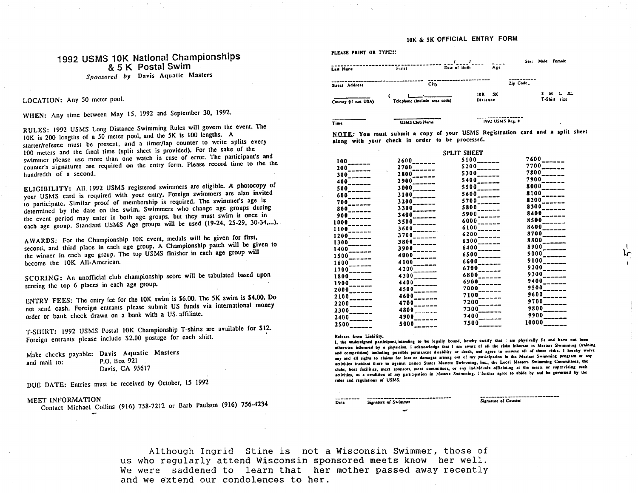#### 10K & SK OFFICIAL ENTRY FORM

## 1992 USMS 10K National Championships & 5 K Postal Swim *Sponsored by* Davis Aquatic Masters

### LOCATION: Any *50* meter pool.

WHEN: Any time between May 15, 1992 and September 30, 1992.

RULES: 1992 USMS Long Distance Swimming Rules will govern the event. The 10K is 200 lengths of a 50 meter pool, and the 5K is 100 lengths. A starter/referee must be present, and a timer/lap counter to write splits every 100 meters and the final time (split sheet is provided). For the sake of the swimmer please use more than one watch in case of error. The participant's and counter's signatures are required on the entry form. Please record time to the the hundredth of a second.

ELIGIBILITY: All. 1992 USMS registered swimmers are eligible. A photocopy of your USMS card is required with your entry. Foreign swimmers are also invited to participate. Similar proof of membership is required. The swimmer's age is determined by the date on the swim. Swimmers who change age groups during 1he event period may enter in both age groups, but they must swim it once in each age group. Standard USMS Age groups will be used (19-24, 25-29, 30-34,...).

<sup>A</sup>WARDS: For lhe Championship lOK event, medals will be given for first, second, and third place in each age group. A Championship patch will be given to the winner in each age group. The top USMS finisher in each age group will become the !OK All-American.

SCORING: An unofficial club championship score will be tabulated based upon scoring the top 6 places in each age group.

ENTRY FEES: The emry fee for the lOK swim is \$6.00. The 5K swim is \$4.00. Do not send cash. Foreign entrants please submit US funds via international money order er bank check drawn on a bank with a US affiliate.

T-SIIIRT: 1992 USMS Postal !OK Championship T-shins are available for \$12. Foreign entrants please include \$2.00 postage for each shirt.

| Make checks payable: Davis Aquatic Masters |                 |  |
|--------------------------------------------|-----------------|--|
| and mail to:                               | P.O. Box 921    |  |
|                                            | Davis, CA 95617 |  |

DUE DATE: Entries must be received by October, 15 1992

#### MEET INFORMATION

Contact Michael Collins (916) 758-7212 or Barb Paulson (916) 756-4234

| Last Name            | First                         | Date of Birth | Age                   | Sea:      |    | Male female                 |
|----------------------|-------------------------------|---------------|-----------------------|-----------|----|-----------------------------|
| Street Address       | City                          |               |                       | Zip Code. |    |                             |
| Country (if not USA) | Telephone (include area code) |               | 5K<br>10K<br>Distance |           | s. | <b>MLXL</b><br>T-Shirt size |
| Time                 | <b>USMS Club Name</b>         |               | 1992 USMS Reg. #      |           |    | ٠                           |

f:UlI.E.: You must submit • copy or your USMS Regislralion card **and a** split sheet along with your check in order to be processed.

|                          |                            | SPLIT SHEET                         |                            |
|--------------------------|----------------------------|-------------------------------------|----------------------------|
| $100$ <sub>------</sub>  | $2600$ <sub>------</sub>   | $5100$ <sub>-<math>---</math></sub> | $7600$ <sub>------</sub>   |
| $200$ <sub>------</sub>  | $2700$ <sub>_____</sub> _  | $5200$ <sub>------</sub>            | $7700$ <sub>------</sub>   |
| $300$ <sub>------</sub>  | $\frac{1}{2800}$           | $5300$ <sup>-</sup> -----           | $7800$ <sub>------</sub>   |
| $400$ <sub>------</sub>  | $2900$ <sub>------</sub>   | $5400$ <sub>------</sub>            | $7900$ <sub>------</sub>   |
| $500$ <sub>------</sub>  | $3000$ <sub>------</sub>   | $5500$ <sub>-----</sub> --          | $8000$ <sub>------</sub>   |
| $600$ <sub>------</sub>  | $3100$ <sub>------</sub>   | $5600$ <sub>______</sub>            | $8100$ <sub>------</sub>   |
| $700$ <sub>------</sub>  | $3200$ <sub>______</sub>   | $5700$ <sub>------</sub>            | $8200$ <sub>______</sub>   |
| $800$ <sub>------</sub>  | $3300$ <sub>______</sub>   | $5800$ <sup>----</sup> ----         | $8300$ <sub>______</sub> _ |
| $900$ <sub>------</sub>  | $3400$ <sub>------</sub>   | $5900$ <sub>------</sub>            | $8400$ <sub>______</sub>   |
| $1000$ <sub>------</sub> | $3500$ <sub>_______</sub>  | $6000$ <sup>-</sup> -----           | $8500$ <sub>------</sub>   |
| $1100$ <sub>------</sub> | $3600$ <sub>------</sub>   | $6100$ <sub>______</sub>            | $8600$ <sub>------</sub>   |
| $1200$ <sub>22222</sub>  | $3700$ <sub>______</sub>   | $6200$ <sub>------</sub>            | $8700$ <sub>------</sub>   |
| $1300$ <sub>------</sub> | $3800$ <sub>______</sub>   | $6300$ <sup>-------</sup>           | $8800$ <sup>---</sup> ---- |
| $1400$ <sub>------</sub> | $3900$ <sub>x-----</sub>   | $6400$ $_{\frac{1}{2}}$             | $8900$ <sub>------</sub>   |
| $1500$ <sub>______</sub> | $4000$ <sub>______</sub> _ | $6500$ <sub>------</sub>            | $9000$ <sub>------</sub>   |
| $1600$ <sub>------</sub> | $4100$ <sub>------</sub>   | $6600$ <sup>--</sup> -----          | $9100$ <sub>------</sub>   |
| $1700$ <sub>______</sub> | $4200$ <sub>_______</sub>  | $6700$ <sub>------</sub>            | $9200$ <sub>------</sub>   |
| $1800$ <sub>------</sub> | $4300$ <sub>------</sub>   | $6800$ <sub>------</sub>            | $9300$ <sub>------</sub>   |
| $1900$ <sub>------</sub> | $4400$ <sub>------</sub>   | $6900$ <sup>--</sup> -----          | $9400$ <sub>------</sub>   |
| $2000$ <sub>n-----</sub> | $4500$ <sub>-----</sub>    | $7000$ <sub>-----</sub>             | $9500$ <sub>------</sub>   |
| $2100$ <sub>------</sub> | $4600$ <sub>------</sub>   | $7100$ <sub>------</sub>            | $9600$ <sub>------</sub>   |
| $2200$ <sub>-----</sub>  | $4700$ <sub>______</sub>   | $7200$ <sub>------</sub>            | $9700$ <sub>------</sub>   |
| $2300$ <sub>------</sub> | 4800                       | $7300$ <sub>------</sub>            | $9800$ <sub>------</sub>   |
| $2400$ <sub>------</sub> | $4900$ <sub>______</sub>   | $7400$ <sub>------</sub>            | $9900$ <sub>------</sub>   |
| $2500$ <sub>------</sub> | $5000$ <sub>------</sub>   | 7500                                | $10000$ <sub>-----</sub> - |
|                          |                            |                                     |                            |

**Rclca1c from Uabili1y.** 

PLEASE **PRINT OR** TYPE!!?

I, the undersigned participant, intending to be legally bound, hereby certify that I am physically fit and have not been otherwise informed by a physician. I acknowledge that I am aware of all the risks inherent in Masters Swimming (training and competition) including possible permanent disability or death, and agree to assume all of those risks. I hereby waive any and all rights to claims for loss or damages arising out of my participation in the Masters Swimming program or any **1tlivilic1 incident there 1e a1ain11 llnilcd Su1e1 M111eu Swimmina,** Inc .• **the Local M111era Swimmina Commi1a.1, lhc**  clubs, host facilities, meet sponsors, meet committees, or any individuals officiating at the meets or supervising such activities, as a condition of my participation in Masters Swimming. I further agree to abide by and be governed by the  $rulea and regulation of USMS.$ 

------------------------------**o,,c Sip&1urc o( Swinvna Sian&&utc of Counter** 

Signature of Counter

l ᡅ

Although Ingrid Stine is not a Wisconsin Swimmer, those of us who regularly attend Wisconsin sponsored meets know her well. We were saddened to learn that her mother passed away recently and we extend our condolences to her.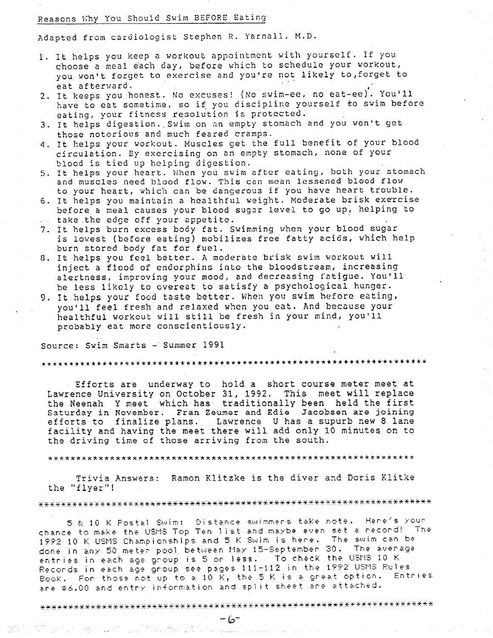## Reasons Why You Should Swim BEFORE Eating

Adapted from cardiologist Stephen R. Yarnall, M.D.

- 1. It helps you keep a workout appointment with yourself. If you choose a meal each day, before which to schedule your workout, you won't forget to exercise and you're not likely to,forget to eat afterward. . ,
- 2. It keeps you honest. No excuses! (No swim-ee, no eat-ee). You'll have to eat sometime, so if you discipline yourself to swim before eating, your fitness resolution is protected.
- 3. It helps digestion. Swim on an empty stomach and you won't get those notorious and much feared cramps.
- 4. It helps your workout. Muscles get the full benefit of your blood circulation. By exercising on an empty stomach, none of your blood is tied up helping digestion.
- 5. It helps your heart. When you swim after eating, both your stomach and muscles need blood flow. This can mean lessened blood flow to your heart, which can be dangerous if you have heart trouble.
- 6. It helps you maintain a healthful weight. Moderate brisk exercise before a meal causes your blood sugar level to go up, helping to take the edge off your appetite.
- 7. It helps burn excess body fat. Swimming when your blood sugar is lowest (before eating) mobilizes free fatty acids, which help burn stored body fat for fuel.
- 0. It helps you feel better. A moderate brisk swim workout will inject a flood of endorphins into the bloodstream, increasing alertness, improving your mood, and decreasing fatigue. You'll be less likely to overeat to satisfy a psychological hunger.
- 9. It helps your food taste better. When you swim hefore eating, you'll feel fresh and relaxed when you eat. And because your healthful workout will still be fresh in your mind, you'll probably eat more conscientiously.

Source: Swim Smarts - Summer 1991

\*\*\*\*\*\*\*\*\*\*\*\*\*\*\*\*\*\*\*\*\*\*\*\*\*\*\*\*\*\*\*\*\*\*\*\*\*\*\*\*\*\*\*\*\*\*\*\*\*\*\*\*\*\*\*\*\*\*\*\*\*\*\*\*\*\*\*\*\*

Efforts are underway to hold a short course meter meet at Lawrence University on October 31, 1992. This meet will replace the Neenah Y meet which has traditionally been held the first Saturday in November. Fran Zeumer and Edie Jacobsen are joining efforts to finalize plans. Lawrence Uhas a supurb new 8 lane facility and having the meet there will add only 10 minutes on to the driving time of those arriving from the south.

\*\*\*\*\*\*\*\*\*\*\*\*\*\*\*\*\*\*\*\*\*\*\*\*\*\*\*\*\*\*\*\*\*\*\*\*\*\*\*\*\*\*\*\*\*\*\*\*\*\*\*\*\*\*\*\*\*\*\*\*\*\*\*\*\*

Trivia Answers: Ramon Klitzke is the diver and Doris Klitke the "flyer"!

5 & 10 K Postal Swim: Distance swimmers take note. Here's your chance to maKe the USMS Top Ten 1 ist and maybe even set a record! Tne 1992 10 K USMS Championships and 5 K Swim is here. The swim can be done in any 50 mete~ pool between May 15-September 30. Tne average entries in each age g~oup is 5 or less. To check the USMS 10 <sup>K</sup> Records in each age group see pages 111-112 in the 1992 USMS Rules Book. For those not up to a 10  $\tilde{K}$ , the 5 K is a great option. Entries are \$6.00 and entry information and split sheet are attached.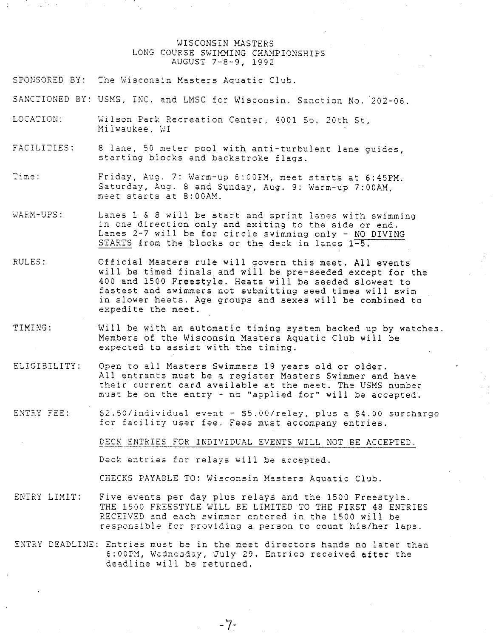### WISCONSIN MASTERS LONG COURSE SWIMMING CHAMPIONSHIPS AUGUST 7-8-9, 1992

- SPONSORED BY: The Wisconsin Masters Aquatic Club.
- SANCTIONED BY: USMS, INC. and LMSC for Wisconsin. Sanction No. 202-06.
- LOCATION: Wilson Park Recreation Center, 4001 So. 20th St, Milwaukee, WI
- FACILITIES: <sup>8</sup>lane, 50 meter pool **with** anti-turbulent lane guides, starting blocks and backstroke flags.
- **T irne:**  Friday, Aug. 7: Warm-up 6:00PM, meet starts at 6:45PM. Saturday, Aug. 8 and Sqnday, Aug. 9: Warm-up 7:00AM, meet starts at 8:00AM.
- WARM-UPS: Lanes 1 & 8 will be start and sprint lanes with swimming in one direction only and exiting to the side or end. Lanes 2-7 will be for circle swimming only - NO DIVING STARTS from the blocks or the deck in lanes 1-5.
- RULES: Official Masters rule will govern this meet. All events will be timed finals and will be pre-seeded except for the 400 and 1500 Freestyle. Heats will be seeded slowest to fastest and swimmers not submitting seed times will swim in slower heets. Age groups and sexes will be combined to expedite the meet.
- TIMING: Will be with an automatic timing system backed up by watches. Members of the Wisconsin Masters Aquatic Club will be expected to assist with the timing.
- ELIGIBILITY: Open to all Masters Swimmers 19 years old or older. All entrants must be <sup>a</sup>register Masters Swimmer and have their current card available at the meet. The USMS nunber must be on the entry - no "applied for" will be accepted.
- ENTRY FEE:  $$2.50/individual$  event -  $$5.00/relay$ , plus a  $$4.00$  surcharge fer facility user fee. Fees must accompany entries.

DECK ENTRIES FOR INDIVIDUAL EVENTS WILL NOT BE ACCEPTED.

Deck entries for relays will be accepted.

CHECKS PAYABLE TO: Wisconsin Masters Aquatic Club.

- ENTRY LIMIT: Five events per day plus relays and the 1500 Freestyle. THE 1500 FRESSTYLE WILL BE LIMITED TO THE FIRST 48 ENTRIES RECEIVED and each swimmer entered in the 1500 will be responsible for providing a person to count his/her laps.
- ENTRY DEADLINE: Entries must be in the meet directors hands no later than 6:00PM, Wednesday, July 29. Entries received after the deadline will be returned.

-7-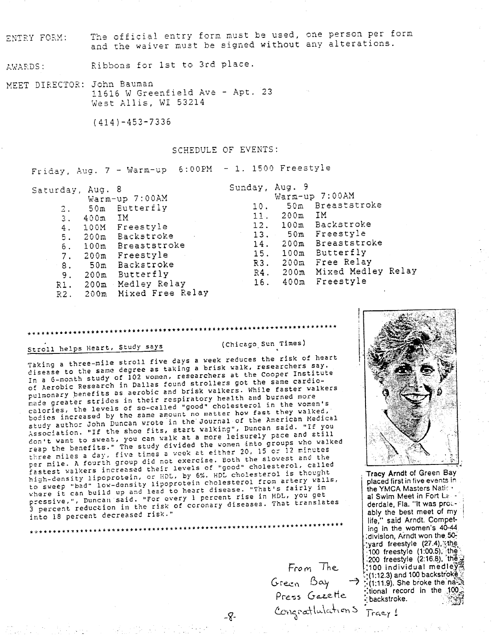The official entry form must be used, one person per form ENTRY FORM: and the waiver must be signed without any alterations.

Ribbons for 1st to 3rd place. AWARDS:

MEET DIRECTOR: John Bauman <sup>11616</sup>W Greenfield Ave - Apt. <sup>23</sup> west Allis, WI 53214

(414)-453-7336

#### SCHEDULE OF EVENTS:

Friday, Aug.  $7 - \text{Warm-up}$  6:00PM - 1. 1500 Freestyle

| Saturday, Aug. 8 |      |                       | Sunday, Aug. 9 |      |                         |  |
|------------------|------|-----------------------|----------------|------|-------------------------|--|
|                  |      | Warm-up 7:00AM        |                |      | Warm-up 7:00AM          |  |
| 2.               |      | 50m Butterfly         | 10.            |      | 50m Breaststroke        |  |
| З.               | 400m | IM.                   | 11.            | 200m | IM T                    |  |
| 4.               |      | 100M Freestyle        | 12.            |      | 100m Backstroke         |  |
| 5.               |      | 200m Backstroke       |                |      | 13. 50m Freestyle       |  |
| 6.               |      | 100m Breaststroke     | 14.            |      | 200m Breaststroke       |  |
| 7.               |      | 200m Freestyle        | 15.            |      | 100m Butterfly          |  |
| 8.               |      | 50m Backstroke        | R3.            |      | 200m Free Relay         |  |
| 9.               |      | 200m Butterfly        | R4.            |      | 200m Mixed Medley Relay |  |
| R1.              |      | 200m Medley Relay     | 16.            |      | 400m Freestyle          |  |
| R2.              |      | 200m Mixed Free Relay |                |      |                         |  |

# Stroll helps Heart, Study says (Chicago\_Sun Times)

.

Taking a three-mile stroll five days a week reduces the risk of heart disease to the same degree as taking a brisk walk, researchers say. In a 6-month study of 102 women, researchers at the Cooper Institute *ot* Aerobic Research in Dallas found strollers got the same cardiopulmonary benefits as aerobic and brisk walkers. While faster walkers nade greater strides in their respiratory health and burned more calories, the levels of so-called "good" cholesterol in the women's bodies increased by the same amount no matter how fast they walked, study author John Duncan wrote in the Journal of the American Medical Association. "If the shoe fits, start walking", Duncan said. "If you Association. "It the show fits, surrowanting pace and still<br>don't want to sweat, you can walk at a more leisurely pace and still don't want to sweat, you can waik at a more are into groups who walked<br>reap the benefits." The study divided the women into groups who walked three miles a day, five times a week at either 20, 15 or 12 minutes three miles a cay, five times a mediate. Both the slowest and the<br>per mile. A fourth group did not exercise. Both the slowest and the<br>fastest walkers increased their levels of "good" cholesterol, called high-density lipoprotein, or HDL, by 6%. HDL cholesterol is thought to sweep "bad" low-density lipoprotein cholesterol from artery walls, where it can build up and lead to heart disease. "That's fairly im where it can build up and icle overy I percent rise in HDL, you get<br>pressive,", Duncan said. "For every I percent diseases. That translat pressive,", Duncan said. That every I persons<br>3 percent reduction in the risk of coronary diseases. That translates into 18 percent decreased risk."

\*\*\*\*\*\*\*\*\*\*\*\*\*\*\*\*\*\*\*

*FroM* /he., Green Bay  $\rightarrow$  ::(1:12.3) a<br>Press Gazette ::ional re<br>Congrattulation 5  $\frac{1}{2}$ 



. **Tracy Arndt** of Green Bay placed first in five events in the YMCA Masters Nation al Swim Meet in Fort Le derdale, Fla. "It was pro:. ably the best meet of my life," said Arndt. Competing in the women's 40-44 :division, Arndt won the. 50: yard freestyle (27.4), the  $100$  freestyle (1:00.5), the  $(200$  freestyle  $(2.16.8)$ . the  $\frac{12}{36}$ . ,100 individual medle $\check{y}$  . G- *<sup>a</sup>*. . -.;(1:12.3) and 100 backstr'oke·::: ie\_.:r, i.J°'3/ -"7 >(1:11.9). She broke the·naZ~ **Press** Gazette ::tional record in the 100;

 $-8-$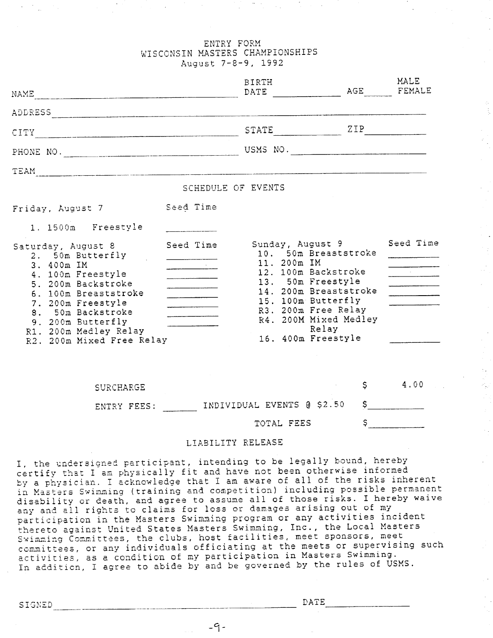### ENTRY FORM WISCONSIN MASTERS CHAMPIONSHIPS August 7-8-9, 1992

| NAME                                                                                                                                                                                                                                         |                                                                                                                                                                                                                                                                                                                                                                                                     | <b>BIRTH</b><br>DATE                                                                                                                                                                                                              | AGE          | MALE<br>FEMALE                      |
|----------------------------------------------------------------------------------------------------------------------------------------------------------------------------------------------------------------------------------------------|-----------------------------------------------------------------------------------------------------------------------------------------------------------------------------------------------------------------------------------------------------------------------------------------------------------------------------------------------------------------------------------------------------|-----------------------------------------------------------------------------------------------------------------------------------------------------------------------------------------------------------------------------------|--------------|-------------------------------------|
|                                                                                                                                                                                                                                              |                                                                                                                                                                                                                                                                                                                                                                                                     |                                                                                                                                                                                                                                   |              |                                     |
|                                                                                                                                                                                                                                              |                                                                                                                                                                                                                                                                                                                                                                                                     | $STATE$ $ZIP$                                                                                                                                                                                                                     |              |                                     |
|                                                                                                                                                                                                                                              |                                                                                                                                                                                                                                                                                                                                                                                                     |                                                                                                                                                                                                                                   |              |                                     |
|                                                                                                                                                                                                                                              |                                                                                                                                                                                                                                                                                                                                                                                                     |                                                                                                                                                                                                                                   |              |                                     |
|                                                                                                                                                                                                                                              | SCHEDULE OF EVENTS                                                                                                                                                                                                                                                                                                                                                                                  |                                                                                                                                                                                                                                   |              |                                     |
| Friday, August 7                                                                                                                                                                                                                             | Seed Time                                                                                                                                                                                                                                                                                                                                                                                           |                                                                                                                                                                                                                                   |              |                                     |
| 1. 1500m Freestyle                                                                                                                                                                                                                           |                                                                                                                                                                                                                                                                                                                                                                                                     |                                                                                                                                                                                                                                   |              |                                     |
| Saturday, August 8<br>2. 50m Butterfly<br>3. 400m IM<br>4. 100m Freestyle<br>5. 200m Backstroke<br>6. 100m Breaststroke<br>7. 200m Freestyle<br>8. 50m Backstroke<br>9. 200m Butterfly<br>R1. 200m Medley Relay<br>R2. 200m Mixed Free Relay | Seed Time<br>$\frac{1}{2}$ . The contract of $\frac{1}{2}$<br><u> 1980 - Jan Stein Stein Stein Stein Stein Stein Stein Stein Stein Stein Stein Stein Stein Stein Stein Stein Stein Stein Stein Stein Stein Stein Stein Stein Stein Stein Stein Stein Stein Stein Stein Stein Stein Stein Stein</u><br>$\overline{\phantom{a}}$<br><u> 1980 - Alexandr III, politik e</u><br>_______________________ | Sunday, August 9<br>10. 50m Breaststroke<br>11. 200m IM<br>12. 100m Backstroke<br>13. 50m Freestyle<br>14. 200m Breaststroke<br>15. 100m Butterfly<br>R3. 200m Free Relay<br>R4. 200M Mixed Medley<br>Relay<br>16. 400m Freestyle |              | Seed Time<br>and the company of the |
| <b>SURCHARGE</b>                                                                                                                                                                                                                             |                                                                                                                                                                                                                                                                                                                                                                                                     |                                                                                                                                                                                                                                   | \$           | 4.00                                |
|                                                                                                                                                                                                                                              |                                                                                                                                                                                                                                                                                                                                                                                                     | ENTRY FEES: INDIVIDUAL EVENTS @ \$2.50                                                                                                                                                                                            | \$           |                                     |
|                                                                                                                                                                                                                                              |                                                                                                                                                                                                                                                                                                                                                                                                     | TOTAL FEES                                                                                                                                                                                                                        | $\mathsf{S}$ |                                     |

## LIABILITY RELEASE

I, the undersigned participant, intending to be legally bound, hereby certify that I am physically fit and have not been otherwise informed by a physician. I acknowledge that I am aware of all of the risks inherent in Masters Swimming (training and competition) including possible permanent disability or death, and agree to assume all of those risks. I hereby waive any and all rights to claims for loss or damages arising out of my participation in the Masters Swimming program or any activities incident thereto against United States Masters Swimming, Inc., the Local Masters shorted against three practic matter butmanne, meet sponsors, meet committees, or any individuals officiating at the meets or supervising such activities, as a condition of my participation in Masters Swimming. In addition, I agree to abide by and be governed by the rules of USMS.

 $-9-$